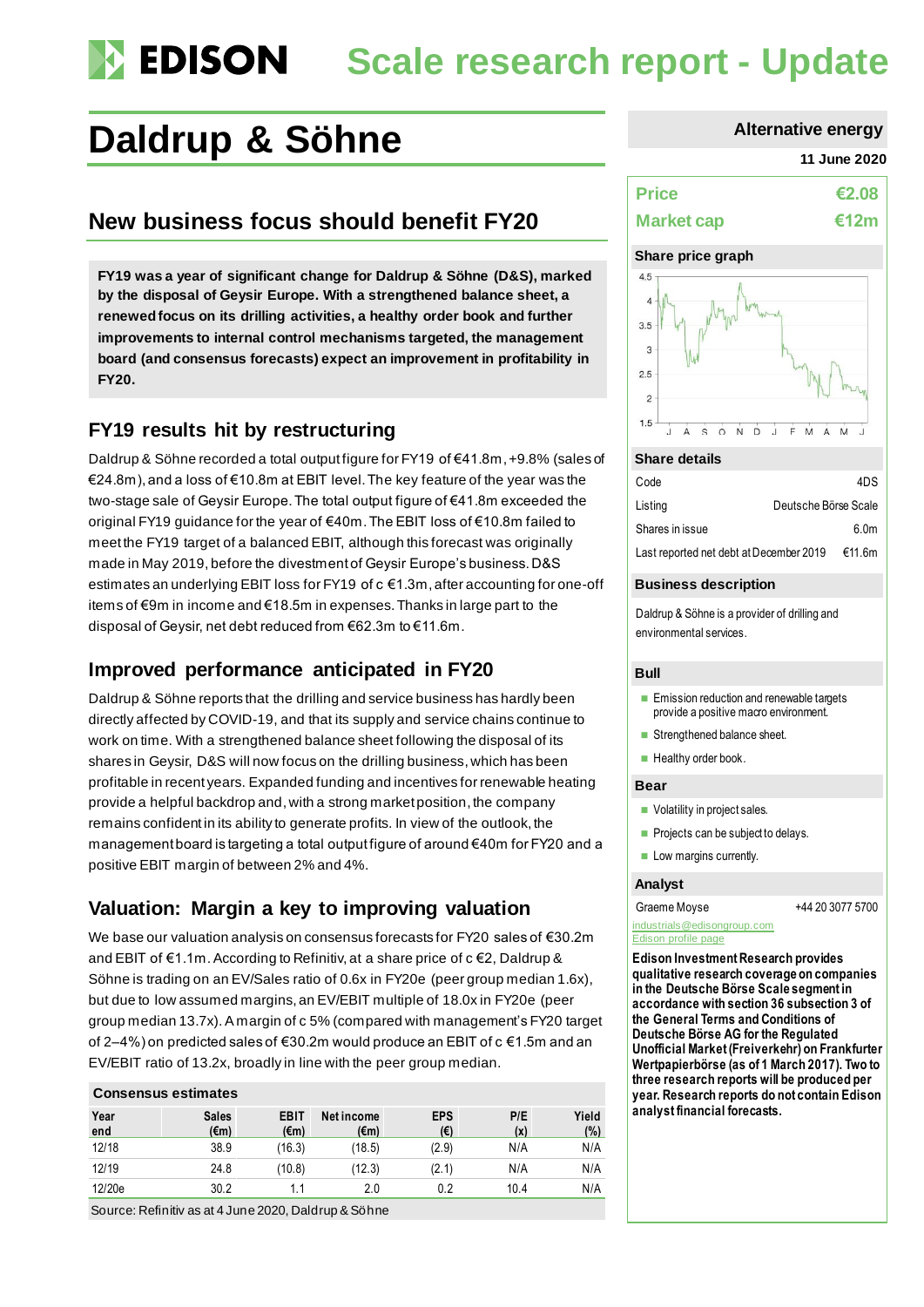# **Scale research report - Update**

## **Daldrup & Söhne Alternative energy**

## **New business focus should benefit FY20**

**FY19 was a year of significant change for Daldrup & Söhne (D&S), marked by the disposal of Geysir Europe. With a strengthened balance sheet, a renewed focus on its drilling activities, a healthy order book and further improvements to internal control mechanisms targeted, the management board (and consensus forecasts) expect an improvement in profitability in FY20.**

### **FY19 results hit by restructuring**

Daldrup & Söhne recorded a total output figure for FY19 of €41.8m, +9.8% (sales of €24.8m),and a loss of €10.8m at EBIT level. The key feature of the year was the two-stage sale of Geysir Europe. The total output figure of €41.8m exceeded the original FY19 guidance for the year of €40m. The EBIT loss of €10.8m failed to meet the FY19 target of a balanced EBIT, although this forecast was originally made in May 2019, before the divestment of Geysir Europe's business. D&S estimates an underlying EBIT loss for FY19 of c €1.3m, after accounting for one-off items of €9m in income and €18.5m in expenses. Thanks in large part to the disposal of Geysir, net debt reduced from €62.3m to €11.6m.

## **Improved performance anticipated in FY20**

Daldrup & Söhne reports that the drilling and service business has hardly been directly affected by COVID-19, and that its supply and service chains continue to work on time. With a strengthened balance sheet following the disposal of its shares in Geysir, D&S will now focus on the drilling business, which has been profitable in recent years. Expanded funding and incentives for renewable heating provide a helpful backdrop and, with a strong market position, the company remains confident in its ability to generate profits. In view of the outlook, the management board is targeting a total output figure of around €40m for FY20 and a positive EBIT margin of between 2% and 4%.

## **Valuation: Margin a key to improving valuation**

We base our valuation analysis on consensus forecasts for FY20 sales of €30.2m and EBIT of €1.1m. According to Refinitiv, at a share price of c €2, Daldrup & Söhne is trading on an EV/Sales ratio of 0.6x in FY20e (peer group median 1.6x), but due to low assumed margins, an EV/EBIT multiple of 18.0x in FY20e (peer group median 13.7x).A margin of c 5% (compared with management's FY20 target of 2–4%) on predicted sales of €30.2m would produce an EBIT of c €1.5m and an EV/EBIT ratio of 13.2x, broadly in line with the peer group median.

### **Consensus estimates**

| Year<br>end | <b>Sales</b><br>$(\epsilon m)$ | <b>EBIT</b><br>$(\epsilon m)$ | Net income<br>$(\epsilon m)$ | <b>EPS</b><br>$(\epsilon)$ | P/E<br>(x) | Yield<br>(%) |
|-------------|--------------------------------|-------------------------------|------------------------------|----------------------------|------------|--------------|
| 12/18       | 38.9                           | (16.3)                        | (18.5)                       | (2.9)                      | N/A        | N/A          |
| 12/19       | 24.8                           | (10.8)                        | (12.3)                       | (2.1)                      | N/A        | N/A          |
| 12/20e      | 30.2                           | 1.1                           | 2.0                          | 0.2                        | 10.4       | N/A          |

Source: Refinitiv as at 4 June 2020, Daldrup & Söhne

#### **11 June 2020**

| <b>Price</b>      | €2.08 |
|-------------------|-------|
| <b>Market cap</b> | €12m  |

#### **Share price graph**



#### **Share details**

| Code                                    |                      | 4DS    |
|-----------------------------------------|----------------------|--------|
| Listing                                 | Deutsche Börse Scale |        |
| Shares in issue                         |                      | 6.0m   |
| Last reported net debt at December 2019 |                      | €11.6m |

#### **Business description**

Daldrup & Söhne is a provider of drilling and environmental services.

#### **Bull**

- Emission reduction and renewable targets provide a positive macro environment.
- Strengthened balance sheet.
- Healthy order book.

#### **Bear**

- Volatility in project sales.
- Projects can be subject to delays.
- Low margins currently.

#### **Analyst**

#### Graeme Moyse  $+442030775700$

#### [industrials@edisongroup.com](mailto:industrials@edisongroup.com) **[Edison profile page](https://www.edisongroup.com/company/daldrup-soehne/2591/)**

**Edison Investment Research provides qualitative research coverage on companies in the Deutsche Börse Scale segment in accordance with section 36 subsection 3 of the General Terms and Conditions of Deutsche Börse AG for the Regulated Unofficial Market (Freiverkehr) on Frankfurter Wertpapierbörse (as of 1 March 2017). Two to three research reports will be produced per year. Research reports do not contain Edison analyst financial forecasts.**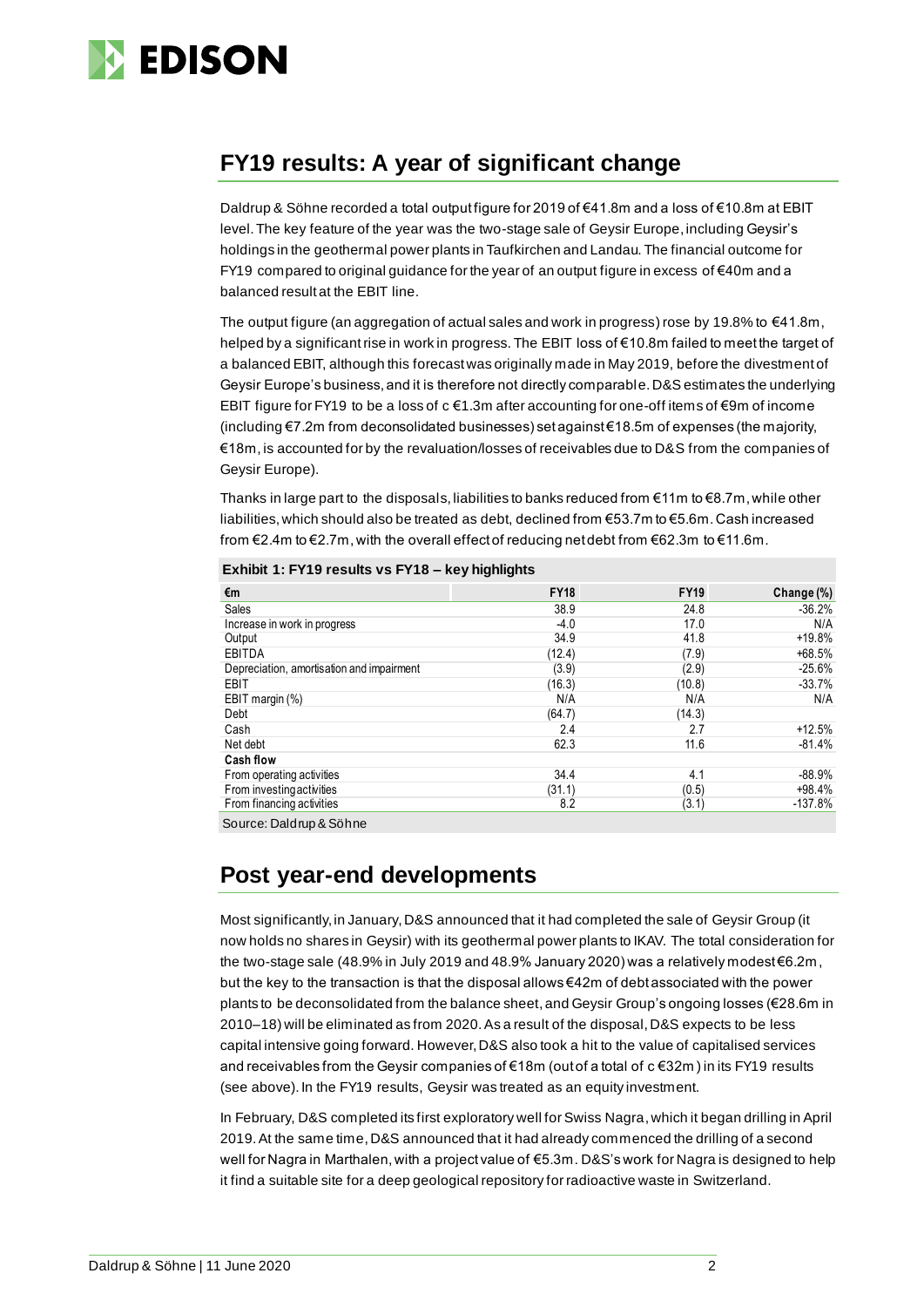

## **FY19 results: A year of significant change**

Daldrup & Söhne recorded a total output figure for 2019 of €41.8m and a loss of €10.8m at EBIT level. The key feature of the year was the two-stage sale of Geysir Europe, including Geysir's holdings in the geothermal power plants in Taufkirchen and Landau. The financial outcome for FY19 compared to original guidance for the year of an output figure in excess of €40m and a balanced result at the EBIT line.

The output figure (an aggregation of actual sales and work in progress) rose by 19.8% to  $\epsilon$ 41.8m, helped by a significant rise in work in progress. The EBIT loss of €10.8m failed to meet the target of a balanced EBIT, although this forecast was originally made in May 2019, before the divestment of Geysir Europe's business, and it is therefore not directly comparable.D&S estimates the underlying EBIT figure for FY19 to be a loss of  $c \in 1.3$ m after accounting for one-off items of  $\in$ 9m of income (including €7.2m from deconsolidated businesses) set against €18.5m of expenses (the majority, €18m, is accounted for by the revaluation/losses of receivables due to D&S from the companies of Geysir Europe).

Thanks in large part to the disposals, liabilities to banks reduced from  $\epsilon$ 11m to  $\epsilon$ 8.7m, while other liabilities, which should also be treated as debt, declined from €53.7m to €5.6m. Cash increased from €2.4m to €2.7m, with the overall effect of reducing net debt from €62.3m to €11.6m.

| €m                                        | <b>FY18</b> | <b>FY19</b> | Change (%) |
|-------------------------------------------|-------------|-------------|------------|
| Sales                                     | 38.9        | 24.8        | $-36.2%$   |
| Increase in work in progress              | $-4.0$      | 17.0        | N/A        |
| Output                                    | 34.9        | 41.8        | $+19.8%$   |
| EBITDA                                    | (12.4)      | (7.9)       | $+68.5%$   |
| Depreciation, amortisation and impairment | (3.9)       | (2.9)       | $-25.6%$   |
| EBIT                                      | (16.3)      | (10.8)      | $-33.7%$   |
| EBIT margin (%)                           | N/A         | N/A         | N/A        |
| Debt                                      | (64.7)      | (14.3)      |            |
| Cash                                      | 2.4         | 2.7         | $+12.5%$   |
| Net debt                                  | 62.3        | 11.6        | $-81.4%$   |
| <b>Cash flow</b>                          |             |             |            |
| From operating activities                 | 34.4        | 4.1         | $-88.9%$   |
| From investing activities                 | (31.1)      | (0.5)       | $+98.4%$   |
| From financing activities                 | 8.2         | (3.1)       | $-137.8%$  |

**Exhibit 1: FY19 results vs FY18 – key highlights**

Source: Daldrup & Söhne

## **Post year-end developments**

Most significantly, in January,D&S announced that it had completed the sale of Geysir Group (it now holds no shares in Geysir) with its geothermal power plants to IKAV. The total consideration for the two-stage sale (48.9% in July 2019 and 48.9% January 2020) was a relatively modest €6.2m , but the key to the transaction is that the disposal allows €42m of debt associated with the power plants to be deconsolidated from the balance sheet, and Geysir Group's ongoing losses (€28.6m in 2010–18) will be eliminated as from 2020. As a result of the disposal,D&S expects to be less capital intensive going forward. However, D&S also took a hit to the value of capitalised services and receivables from the Geysir companies of €18m (out of a total of c €32m ) in its FY19 results (see above). In the FY19 results, Geysir was treated as an equity investment.

In February, D&S completed its first exploratory well for Swiss Nagra,which it began drilling in April 2019. At the same time,D&S announced that it had already commenced the drilling of a second well for Nagra in Marthalen, with a project value of €5.3m. D&S's work for Nagra is designed to help it find a suitable site for a deep geological repository for radioactive waste in Switzerland.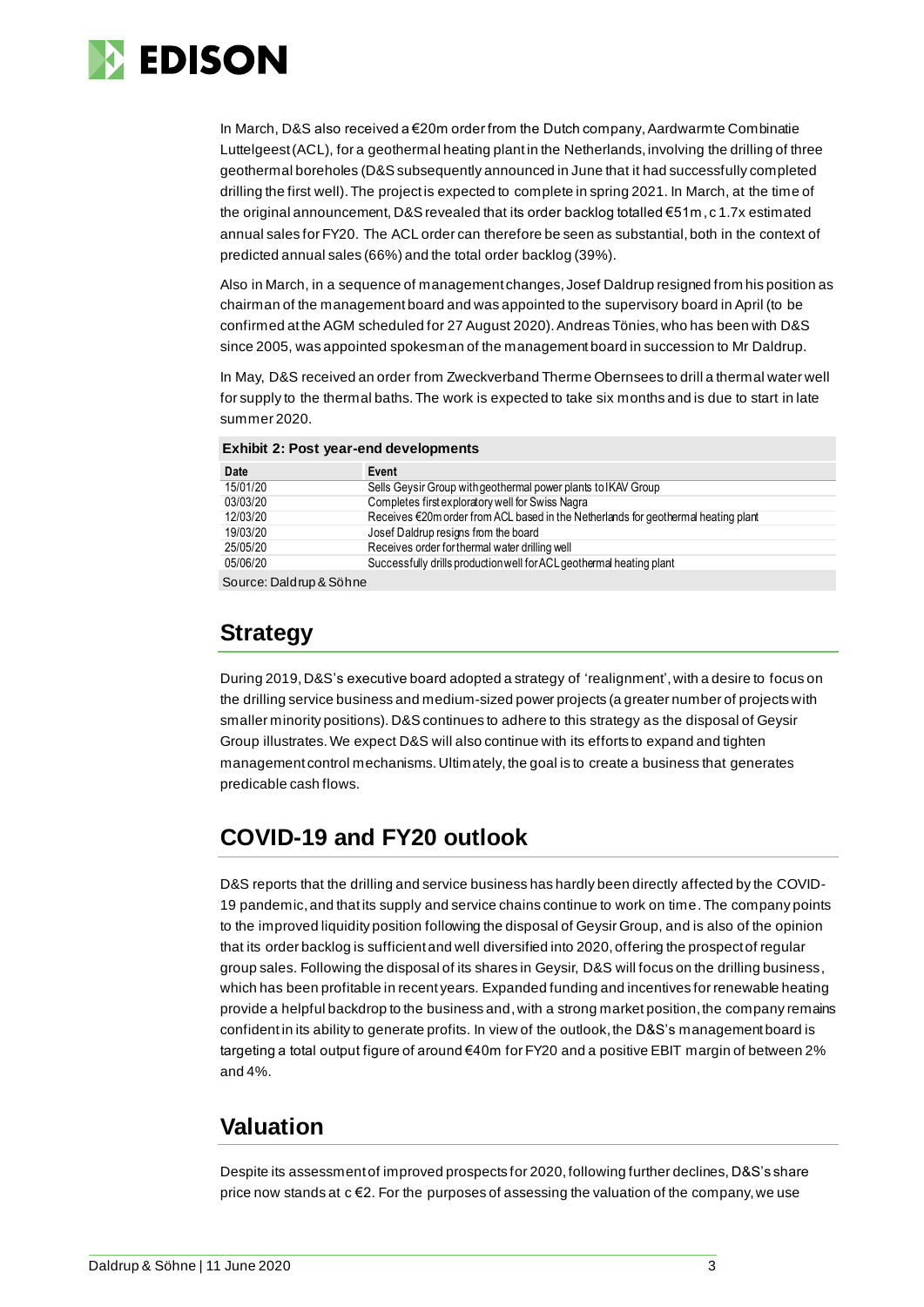

In March, D&S also received a €20m order from the Dutch company, Aardwarmte Combinatie Luttelgeest (ACL), for a geothermal heating plant in the Netherlands, involving the drilling of three geothermal boreholes (D&S subsequently announced in June that it had successfully completed drilling the first well). The project is expected to complete in spring 2021. In March, at the time of the original announcement, D&S revealed that its order backlog totalled €51m, c 1.7x estimated annual sales for FY20. The ACL order can therefore be seen as substantial, both in the context of predicted annual sales (66%) and the total order backlog (39%).

Also in March, in a sequence of management changes, Josef Daldrup resigned from his position as chairman of the management board and was appointed to the supervisory board in April (to be confirmed at the AGM scheduled for 27 August 2020). Andreas Tönies, who has been with D&S since 2005, was appointed spokesman of the management board in succession to Mr Daldrup.

In May, D&S received an order from Zweckverband Therme Obernsees to drill a thermal water well for supply to the thermal baths. The work is expected to take six months and is due to start in late summer 2020.

| <b>Exhibit 2: Post year-end developments</b> |  |  |
|----------------------------------------------|--|--|
|----------------------------------------------|--|--|

| Date              | Event                                                                              |
|-------------------|------------------------------------------------------------------------------------|
| 15/01/20          | Sells Geysir Group with geothermal power plants to IKAV Group                      |
| 03/03/20          | Completes first exploratory well for Swiss Nagra                                   |
| 12/03/20          | Receives €20m order from ACL based in the Netherlands for geothermal heating plant |
| 19/03/20          | Josef Daldrup resigns from the board                                               |
| 25/05/20          | Receives order for thermal water drilling well                                     |
| 05/06/20          | Successfully drills production well for ACL geothermal heating plant               |
| $O = \frac{1}{2}$ |                                                                                    |

Source: Daldrup & Söhne

## **Strategy**

During 2019, D&S's executive board adopted a strategy of 'realignment', with a desire to focus on the drilling service business and medium-sized power projects (a greater number of projects with smaller minority positions). D&S continues to adhere to this strategy as the disposal of Geysir Group illustrates.We expect D&S will also continue with its efforts to expand and tighten management control mechanisms. Ultimately, the goal is to create a business that generates predicable cash flows.

## **COVID-19 and FY20 outlook**

D&S reports that the drilling and service business has hardly been directly affected by the COVID-19 pandemic,and that its supply and service chains continue to work on time. The company points to the improved liquidity position following the disposal of Geysir Group, and is also of the opinion that its order backlog is sufficient and well diversified into 2020, offering the prospect of regular group sales. Following the disposal of its shares in Geysir, D&S will focus on the drilling business, which has been profitable in recent years. Expanded funding and incentives for renewable heating provide a helpful backdrop to the business and,with a strong market position, the company remains confident in its ability to generate profits. In view of the outlook, the D&S's management board is targeting a total output figure of around €40m for FY20 and a positive EBIT margin of between 2% and 4%.

## **Valuation**

Despite its assessment of improved prospects for 2020, following further declines, D&S's share price now stands at  $c \in 2$ . For the purposes of assessing the valuation of the company, we use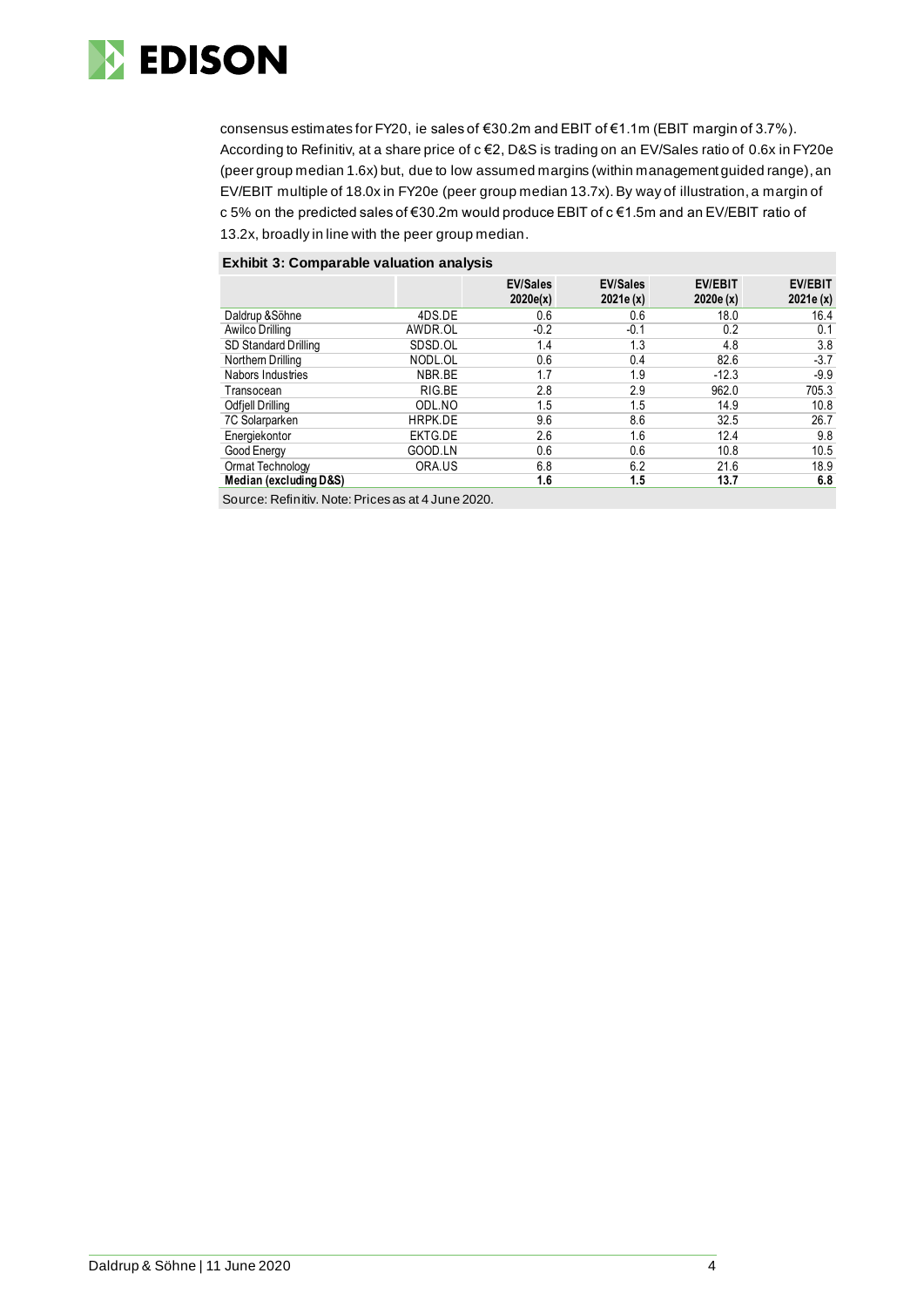

consensus estimates for FY20, ie sales of €30.2m and EBIT of €1.1m (EBIT margin of 3.7%). According to Refinitiv, at a share price of c €2, D&S is trading on an EV/Sales ratio of 0.6x in FY20e (peer group median 1.6x) but, due to low assumed margins (within management guided range), an EV/EBIT multiple of 18.0x in FY20e (peer group median 13.7x). By way of illustration,a margin of c 5% on the predicted sales of €30.2m would produce EBIT of c €1.5m and an EV/EBIT ratio of 13.2x, broadly in line with the peer group median.

#### **Exhibit 3: Comparable valuation analysis**

|                        |         | <b>EV/Sales</b><br>2020e(x) | <b>EV/Sales</b><br>2021e(x) | <b>EV/EBIT</b><br>2020e(x) | <b>EV/EBIT</b><br>2021e(x) |
|------------------------|---------|-----------------------------|-----------------------------|----------------------------|----------------------------|
| Daldrup & Söhne        | 4DS.DE  | 0.6                         | 0.6                         | 18.0                       | 16.4                       |
| Awilco Drilling        | AWDR.OL | $-0.2$                      | -0.1                        | 0.2                        | 0.1                        |
| SD Standard Drilling   | SDSD.OL | 1.4                         | 1.3                         | 4.8                        | 3.8                        |
| Northern Drilling      | NODL.OL | 0.6                         | 0.4                         | 82.6                       | $-3.7$                     |
| Nabors Industries      | NBR.BE  | 1.7                         | 1.9                         | $-12.3$                    | $-9.9$                     |
| Transocean             | RIG.BE  | 2.8                         | 2.9                         | 962.0                      | 705.3                      |
| Odfiell Drilling       | ODL.NO  | 1.5                         | 1.5                         | 14.9                       | 10.8                       |
| 7C Solarparken         | HRPK.DE | 9.6                         | 8.6                         | 32.5                       | 26.7                       |
| Energiekontor          | EKTG.DE | 2.6                         | 1.6                         | 12.4                       | 9.8                        |
| Good Energy            | GOOD.LN | 0.6                         | 0.6                         | 10.8                       | 10.5                       |
| Ormat Technology       | ORA.US  | 6.8                         | 6.2                         | 21.6                       | 18.9                       |
| Median (excluding D&S) |         | 1.6                         | 1.5                         | 13.7                       | 6.8                        |

Source: Refinitiv. Note: Prices as at 4 June 2020.